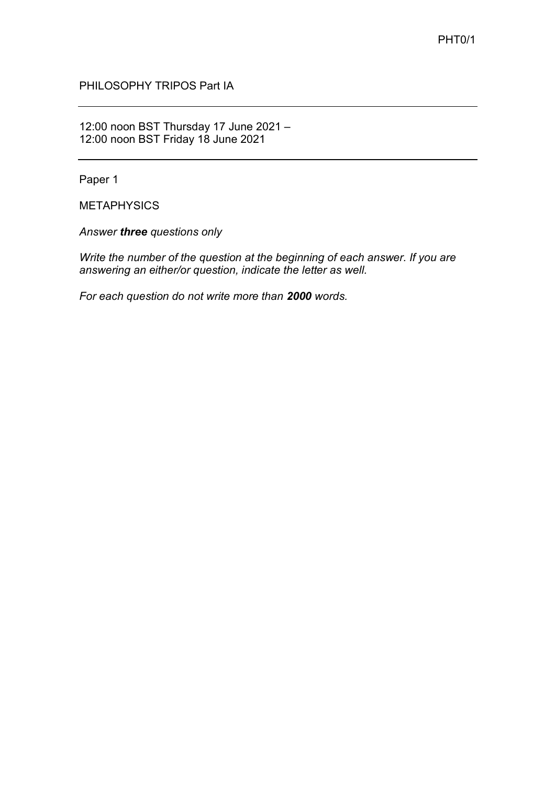PHILOSOPHY TRIPOS Part IA

12:00 noon BST Thursday 17 June 2021 – 12:00 noon BST Friday 18 June 2021

Paper 1

METAPHYSICS

*Answer three questions only*

*Write the number of the question at the beginning of each answer. If you are answering an either/or question, indicate the letter as well.* 

*For each question do not write more than 2000 words.*